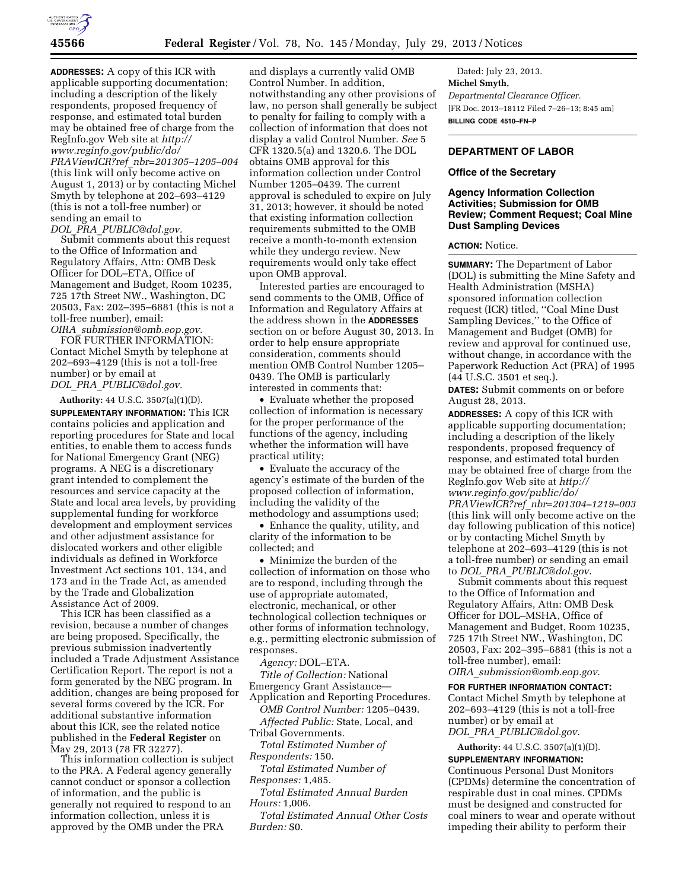

**ADDRESSES:** A copy of this ICR with applicable supporting documentation; including a description of the likely respondents, proposed frequency of response, and estimated total burden may be obtained free of charge from the RegInfo.gov Web site at *[http://](http://www.reginfo.gov/public/do/PRAViewICR?ref_nbr=201305-1205-004) [www.reginfo.gov/public/do/](http://www.reginfo.gov/public/do/PRAViewICR?ref_nbr=201305-1205-004)  PRAViewICR?ref*\_*[nbr=201305–1205–004](http://www.reginfo.gov/public/do/PRAViewICR?ref_nbr=201305-1205-004)*  (this link will only become active on August 1, 2013) or by contacting Michel Smyth by telephone at 202–693–4129 (this is not a toll-free number) or sending an email to *DOL*\_*PRA*\_*[PUBLIC@dol.gov.](mailto:DOL_PRA_PUBLIC@dol.gov)* 

Submit comments about this request to the Office of Information and Regulatory Affairs, Attn: OMB Desk Officer for DOL–ETA, Office of Management and Budget, Room 10235, 725 17th Street NW., Washington, DC 20503, Fax: 202–395–6881 (this is not a toll-free number), email: *OIRA*\_*[submission@omb.eop.gov.](mailto:OIRA_submission@omb.eop.gov)* 

FOR FURTHER INFORMATION: Contact Michel Smyth by telephone at 202–693–4129 (this is not a toll-free number) or by email at *DOL*\_*PRA*\_*[PUBLIC@dol.gov.](mailto:DOL_PRA_PUBLIC@dol.gov)* 

**Authority:** 44 U.S.C. 3507(a)(1)(D).

**SUPPLEMENTARY INFORMATION:** This ICR contains policies and application and reporting procedures for State and local entities, to enable them to access funds for National Emergency Grant (NEG) programs. A NEG is a discretionary grant intended to complement the resources and service capacity at the State and local area levels, by providing supplemental funding for workforce development and employment services and other adjustment assistance for dislocated workers and other eligible individuals as defined in Workforce Investment Act sections 101, 134, and 173 and in the Trade Act, as amended by the Trade and Globalization Assistance Act of 2009.

This ICR has been classified as a revision, because a number of changes are being proposed. Specifically, the previous submission inadvertently included a Trade Adjustment Assistance Certification Report. The report is not a form generated by the NEG program. In addition, changes are being proposed for several forms covered by the ICR. For additional substantive information about this ICR, see the related notice published in the **Federal Register** on May 29, 2013 (78 FR 32277).

This information collection is subject to the PRA. A Federal agency generally cannot conduct or sponsor a collection of information, and the public is generally not required to respond to an information collection, unless it is approved by the OMB under the PRA

and displays a currently valid OMB Control Number. In addition, notwithstanding any other provisions of law, no person shall generally be subject to penalty for failing to comply with a collection of information that does not display a valid Control Number. *See* 5 CFR 1320.5(a) and 1320.6. The DOL obtains OMB approval for this information collection under Control Number 1205–0439. The current approval is scheduled to expire on July 31, 2013; however, it should be noted that existing information collection requirements submitted to the OMB receive a month-to-month extension while they undergo review. New requirements would only take effect upon OMB approval.

Interested parties are encouraged to send comments to the OMB, Office of Information and Regulatory Affairs at the address shown in the **ADDRESSES** section on or before August 30, 2013. In order to help ensure appropriate consideration, comments should mention OMB Control Number 1205– 0439. The OMB is particularly interested in comments that:

• Evaluate whether the proposed collection of information is necessary for the proper performance of the functions of the agency, including whether the information will have practical utility;

• Evaluate the accuracy of the agency's estimate of the burden of the proposed collection of information, including the validity of the methodology and assumptions used;

• Enhance the quality, utility, and clarity of the information to be collected; and

• Minimize the burden of the collection of information on those who are to respond, including through the use of appropriate automated, electronic, mechanical, or other technological collection techniques or other forms of information technology, e.g., permitting electronic submission of responses.

*Agency:* DOL–ETA.

*Title of Collection:* National Emergency Grant Assistance—

Application and Reporting Procedures. *OMB Control Number:* 1205–0439. *Affected Public:* State, Local, and

Tribal Governments.

*Total Estimated Number of Respondents:* 150.

*Total Estimated Number of Responses:* 1,485.

*Total Estimated Annual Burden Hours:* 1,006.

*Total Estimated Annual Other Costs Burden:* \$0.

Dated: July 23, 2013. **Michel Smyth,**  *Departmental Clearance Officer.*  [FR Doc. 2013–18112 Filed 7–26–13; 8:45 am] **BILLING CODE 4510–FN–P** 

# **DEPARTMENT OF LABOR**

#### **Office of the Secretary**

# **Agency Information Collection Activities; Submission for OMB Review; Comment Request; Coal Mine Dust Sampling Devices**

#### **ACTION:** Notice.

**SUMMARY:** The Department of Labor (DOL) is submitting the Mine Safety and Health Administration (MSHA) sponsored information collection request (ICR) titled, ''Coal Mine Dust Sampling Devices,'' to the Office of Management and Budget (OMB) for review and approval for continued use, without change, in accordance with the Paperwork Reduction Act (PRA) of 1995 (44 U.S.C. 3501 et seq.).

**DATES:** Submit comments on or before August 28, 2013.

**ADDRESSES:** A copy of this ICR with applicable supporting documentation; including a description of the likely respondents, proposed frequency of response, and estimated total burden may be obtained free of charge from the RegInfo.gov Web site at *[http://](http://www.reginfo.gov/public/do/PRAViewICR?ref_nbr=201304-1219-003) [www.reginfo.gov/public/do/](http://www.reginfo.gov/public/do/PRAViewICR?ref_nbr=201304-1219-003)  PRAViewICR?ref*\_*[nbr=201304–1219–003](http://www.reginfo.gov/public/do/PRAViewICR?ref_nbr=201304-1219-003)*  (this link will only become active on the day following publication of this notice) or by contacting Michel Smyth by telephone at 202–693–4129 (this is not a toll-free number) or sending an email to *DOL*\_*PRA*\_*[PUBLIC@dol.gov](mailto:DOL_PRA_PUBLIC@dol.gov)*.

Submit comments about this request to the Office of Information and Regulatory Affairs, Attn: OMB Desk Officer for DOL–MSHA, Office of Management and Budget, Room 10235, 725 17th Street NW., Washington, DC 20503, Fax: 202–395–6881 (this is not a toll-free number), email: *OIRA*\_*[submission@omb.eop.gov](mailto:OIRA_submission@omb.eop.gov)*.

# **FOR FURTHER INFORMATION CONTACT:**

Contact Michel Smyth by telephone at 202–693–4129 (this is not a toll-free number) or by email at *DOL*\_*PRA*\_*[PUBLIC@dol.gov](mailto:DOL_PRA_PUBLIC@dol.gov)*.

**Authority:** 44 U.S.C. 3507(a)(1)(D).

# **SUPPLEMENTARY INFORMATION:**

Continuous Personal Dust Monitors (CPDMs) determine the concentration of respirable dust in coal mines. CPDMs must be designed and constructed for coal miners to wear and operate without impeding their ability to perform their